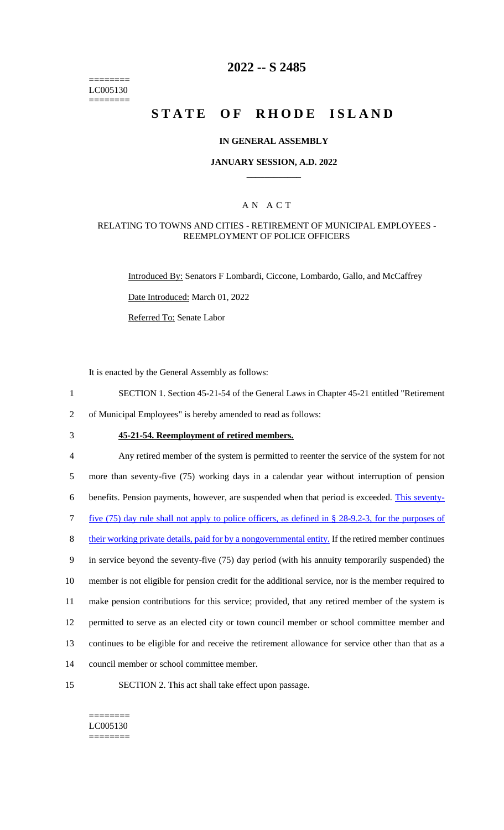======== LC005130 ========

## **2022 -- S 2485**

# **STATE OF RHODE ISLAND**

### **IN GENERAL ASSEMBLY**

### **JANUARY SESSION, A.D. 2022 \_\_\_\_\_\_\_\_\_\_\_\_**

## A N A C T

### RELATING TO TOWNS AND CITIES - RETIREMENT OF MUNICIPAL EMPLOYEES - REEMPLOYMENT OF POLICE OFFICERS

Introduced By: Senators F Lombardi, Ciccone, Lombardo, Gallo, and McCaffrey

Date Introduced: March 01, 2022

Referred To: Senate Labor

It is enacted by the General Assembly as follows:

1 SECTION 1. Section 45-21-54 of the General Laws in Chapter 45-21 entitled "Retirement

2 of Municipal Employees" is hereby amended to read as follows:

## 3 **45-21-54. Reemployment of retired members.**

 Any retired member of the system is permitted to reenter the service of the system for not more than seventy-five (75) working days in a calendar year without interruption of pension benefits. Pension payments, however, are suspended when that period is exceeded. This seventy- five (75) day rule shall not apply to police officers, as defined in § 28-9.2-3, for the purposes of 8 their working private details, paid for by a nongovernmental entity. If the retired member continues in service beyond the seventy-five (75) day period (with his annuity temporarily suspended) the member is not eligible for pension credit for the additional service, nor is the member required to make pension contributions for this service; provided, that any retired member of the system is permitted to serve as an elected city or town council member or school committee member and continues to be eligible for and receive the retirement allowance for service other than that as a council member or school committee member.

15 SECTION 2. This act shall take effect upon passage.

======== LC005130 ========